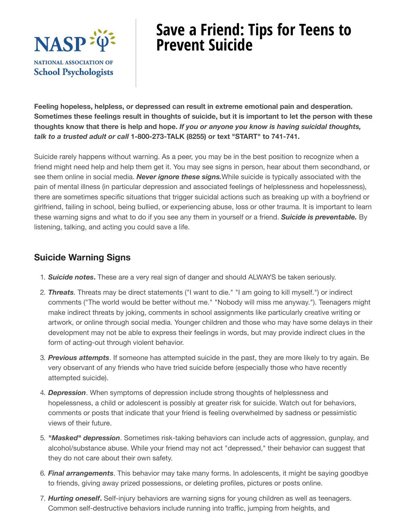

## **Save a Friend: Tips for Teens to Prevent Suicide**

**Feeling hopeless, helpless, or depressed can result in extreme emotional pain and desperation.** Sometimes these feelings result in thoughts of suicide, but it is important to let the person with these **thoughts know that there is help and hope.** *If you or anyone you know is having suicidal thoughts, talk to a trusted adult or call* **1-800-273-TALK (8255) or text "START" to 741-741.**

Suicide rarely happens without warning. As a peer, you may be in the best position to recognize when a friend might need help and help them get it. You may see signs in person, hear about them secondhand, or see them online in social media. *Never ignore these signs.*While suicide is typically associated with the pain of mental illness (in particular depression and associated feelings of helplessness and hopelessness), there are sometimes specific situations that trigger suicidal actions such as breaking up with a boyfriend or girlfriend, failing in school, being bullied, or experiencing abuse, loss or other trauma. It is important to learn these warning signs and what to do if you see any them in yourself or a friend. *Suicide is preventable.* By listening, talking, and acting you could save a life.

## **Suicide Warning Signs**

- 1. *Suicide notes***.** These are a very real sign of danger and should ALWAYS be taken seriously.
- 2. *Threats.* Threats may be direct statements ("I want to die." "I am going to kill myself.") or indirect comments ("The world would be better without me." "Nobody will miss me anyway."). Teenagers might make indirect threats by joking, comments in school assignments like particularly creative writing or artwork, or online through social media. Younger children and those who may have some delays in their development may not be able to express their feelings in words, but may provide indirect clues in the form of acting-out through violent behavior.
- 3. *Previous attempts*. If someone has attempted suicide in the past, they are more likely to try again. Be very observant of any friends who have tried suicide before (especially those who have recently attempted suicide).
- 4. *Depression*. When symptoms of depression include strong thoughts of helplessness and hopelessness, a child or adolescent is possibly at greater risk for suicide. Watch out for behaviors, comments or posts that indicate that your friend is feeling overwhelmed by sadness or pessimistic views of their future.
- 5. *"Masked" depression*. Sometimes risk-taking behaviors can include acts of aggression, gunplay, and alcohol/substance abuse. While your friend may not act "depressed," their behavior can suggest that they do not care about their own safety.
- 6. *Final arrangements*. This behavior may take many forms. In adolescents, it might be saying goodbye to friends, giving away prized possessions, or deleting profiles, pictures or posts online.
- 7. *Hurting oneself***.** Self-injury behaviors are warning signs for young children as well as teenagers. Common self-destructive behaviors include running into traffic, jumping from heights, and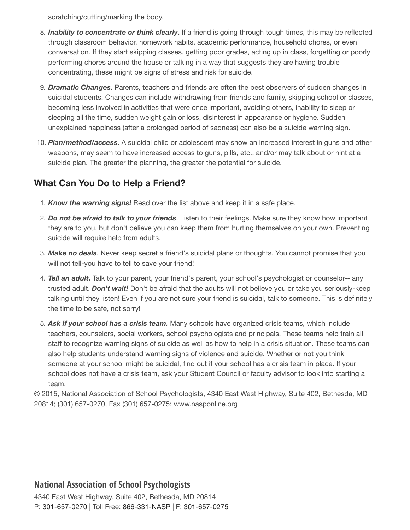scratching/cutting/marking the body.

- 8. *Inability to concentrate or think clearly***.** If a friend is going through tough times, this may be reflected through classroom behavior, homework habits, academic performance, household chores, or even conversation. If they start skipping classes, getting poor grades, acting up in class, forgetting or poorly performing chores around the house or talking in a way that suggests they are having trouble concentrating, these might be signs of stress and risk for suicide.
- 9. *Dramatic Changes***.** Parents, teachers and friends are often the best observers of sudden changes in suicidal students. Changes can include withdrawing from friends and family, skipping school or classes, becoming less involved in activities that were once important, avoiding others, inability to sleep or sleeping all the time, sudden weight gain or loss, disinterest in appearance or hygiene. Sudden unexplained happiness (after a prolonged period of sadness) can also be a suicide warning sign.
- 10. *Plan/method/access*. A suicidal child or adolescent may show an increased interest in guns and other weapons, may seem to have increased access to guns, pills, etc., and/or may talk about or hint at a suicide plan. The greater the planning, the greater the potential for suicide.

## **What Can You Do to Help a Friend?**

- 1. *Know the warning signs!* Read over the list above and keep it in a safe place.
- 2. *Do not be afraid to talk to your friends*. Listen to their feelings. Make sure they know how important they are to you, but don't believe you can keep them from hurting themselves on your own. Preventing suicide will require help from adults.
- 3. *Make no deals.* Never keep secret a friend's suicidal plans or thoughts. You cannot promise that you will not tell-you have to tell to save your friend!
- 4. *Tell an adult***.** Talk to your parent, your friend's parent, your school's psychologist or counselor-- any trusted adult. *Don't wait!* Don't be afraid that the adults will not believe you or take you seriously-keep talking until they listen! Even if you are not sure your friend is suicidal, talk to someone. This is definitely the time to be safe, not sorry!
- 5. *Ask if your school has a crisis team.* Many schools have organized crisis teams, which include teachers, counselors, social workers, school psychologists and principals. These teams help train all staff to recognize warning signs of suicide as well as how to help in a crisis situation. These teams can also help students understand warning signs of violence and suicide. Whether or not you think someone at your school might be suicidal, find out if your school has a crisis team in place. If your school does not have a crisis team, ask your Student Council or faculty advisor to look into starting a team.

© 2015, National Association of School Psychologists, 4340 East West Highway, Suite 402, Bethesda, MD 20814; (301) 657-0270, Fax (301) 657-0275; www.nasponline.org

## **National Association of School Psychologists**

4340 East West Highway, Suite 402, Bethesda, MD 20814 P: 301-657-0270 | Toll Free: 866-331-NASP | F: 301-657-0275